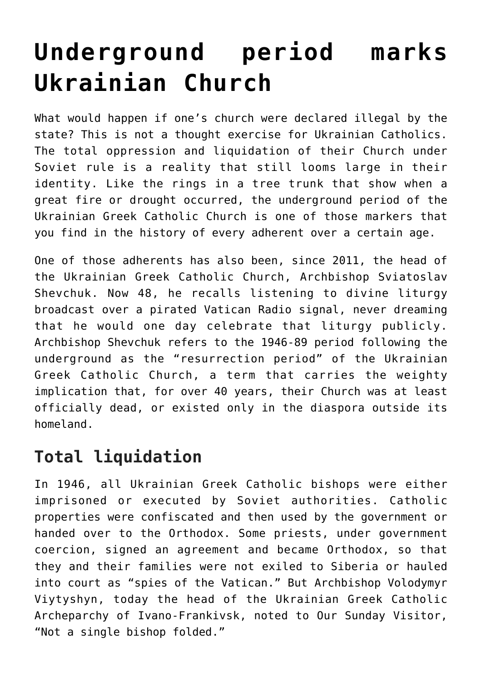## **[Underground period marks](https://www.osvnews.com/2018/08/15/underground-period-marks-ukrainian-church/) [Ukrainian Church](https://www.osvnews.com/2018/08/15/underground-period-marks-ukrainian-church/)**

What would happen if one's church were declared illegal by the state? This is not a thought exercise for Ukrainian Catholics. The total oppression and liquidation of their Church under Soviet rule is a reality that still looms large in their identity. Like the rings in a tree trunk that show when a great fire or drought occurred, the underground period of the Ukrainian Greek Catholic Church is one of those markers that you find in the history of every adherent over a certain age.

One of those adherents has also been, since 2011, the head of the Ukrainian Greek Catholic Church, Archbishop Sviatoslav Shevchuk. Now 48, he recalls listening to divine liturgy broadcast over a pirated Vatican Radio signal, never dreaming that he would one day celebrate that liturgy publicly. Archbishop Shevchuk refers to the 1946-89 period following the underground as the "resurrection period" of the Ukrainian Greek Catholic Church, a term that carries the weighty implication that, for over 40 years, their Church was at least officially dead, or existed only in the diaspora outside its homeland.

## **Total liquidation**

In 1946, all Ukrainian Greek Catholic bishops were either imprisoned or executed by Soviet authorities. Catholic properties were confiscated and then used by the government or handed over to the Orthodox. Some priests, under government coercion, signed an agreement and became Orthodox, so that they and their families were not exiled to Siberia or hauled into court as "spies of the Vatican." But Archbishop Volodymyr Viytyshyn, today the head of the Ukrainian Greek Catholic Archeparchy of Ivano-Frankivsk, noted to Our Sunday Visitor, "Not a single bishop folded."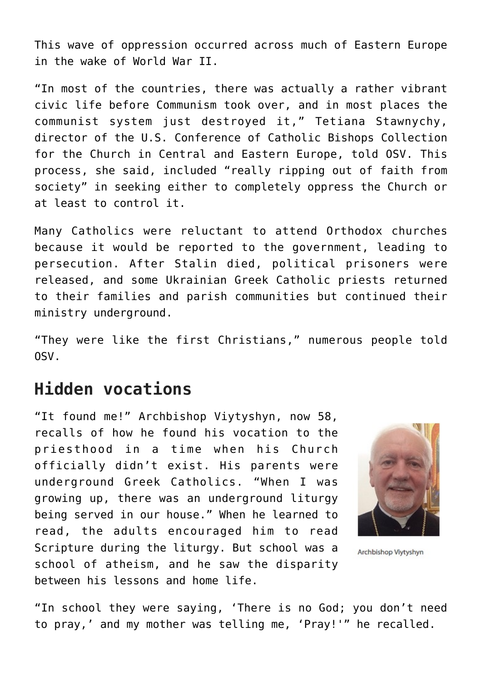This wave of oppression occurred across much of Eastern Europe in the wake of World War II.

"In most of the countries, there was actually a rather vibrant civic life before Communism took over, and in most places the communist system just destroyed it," Tetiana Stawnychy, director of the U.S. Conference of Catholic Bishops Collection for the Church in Central and Eastern Europe, told OSV. This process, she said, included "really ripping out of faith from society" in seeking either to completely oppress the Church or at least to control it.

Many Catholics were reluctant to attend Orthodox churches because it would be reported to the government, leading to persecution. After Stalin died, political prisoners were released, and some Ukrainian Greek Catholic priests returned to their families and parish communities but continued their ministry underground.

"They were like the first Christians," numerous people told OSV.

## **Hidden vocations**

"It found me!" Archbishop Viytyshyn, now 58, recalls of how he found his vocation to the priesthood in a time when his Church officially didn't exist. His parents were underground Greek Catholics. "When I was growing up, there was an underground liturgy being served in our house." When he learned to read, the adults encouraged him to read Scripture during the liturgy. But school was a school of atheism, and he saw the disparity between his lessons and home life.



Archbishop Viytyshyn

"In school they were saying, 'There is no God; you don't need to pray,' and my mother was telling me, 'Pray!'" he recalled.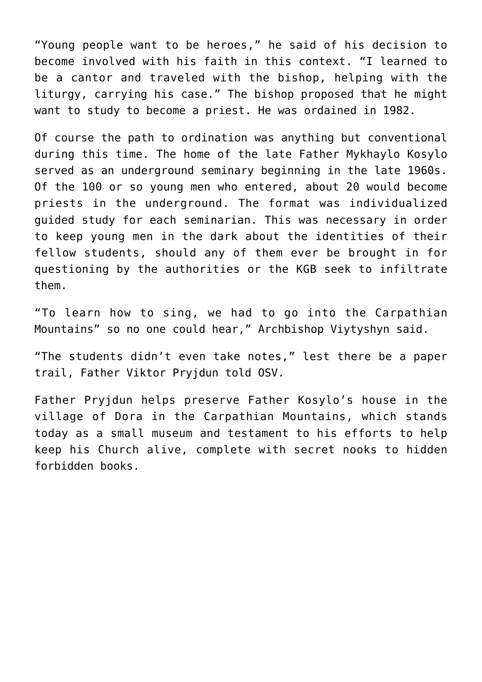"Young people want to be heroes," he said of his decision to become involved with his faith in this context. "I learned to be a cantor and traveled with the bishop, helping with the liturgy, carrying his case." The bishop proposed that he might want to study to become a priest. He was ordained in 1982.

Of course the path to ordination was anything but conventional during this time. The home of the late Father Mykhaylo Kosylo served as an underground seminary beginning in the late 1960s. Of the 100 or so young men who entered, about 20 would become priests in the underground. The format was individualized guided study for each seminarian. This was necessary in order to keep young men in the dark about the identities of their fellow students, should any of them ever be brought in for questioning by the authorities or the KGB seek to infiltrate them.

"To learn how to sing, we had to go into the Carpathian Mountains" so no one could hear," Archbishop Viytyshyn said.

"The students didn't even take notes," lest there be a paper trail, Father Viktor Pryjdun told OSV.

Father Pryjdun helps preserve Father Kosylo's house in the village of Dora in the Carpathian Mountains, which stands today as a small museum and testament to his efforts to help keep his Church alive, complete with secret nooks to hidden forbidden books.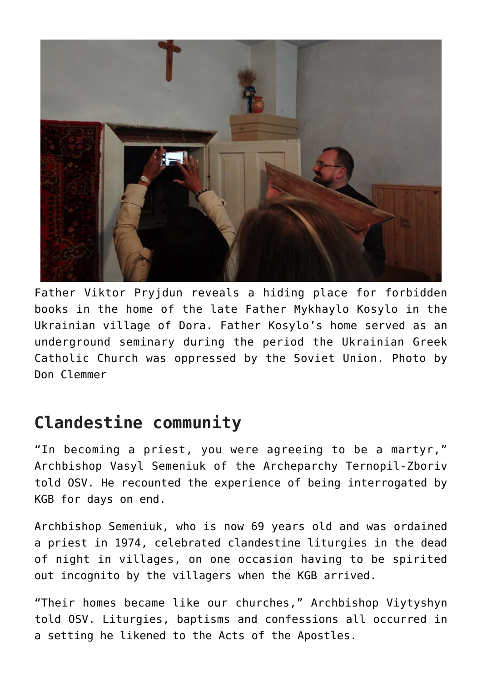

Father Viktor Pryjdun reveals a hiding place for forbidden books in the home of the late Father Mykhaylo Kosylo in the Ukrainian village of Dora. Father Kosylo's home served as an underground seminary during the period the Ukrainian Greek Catholic Church was oppressed by the Soviet Union. Photo by Don Clemmer

## **Clandestine community**

"In becoming a priest, you were agreeing to be a martyr," Archbishop Vasyl Semeniuk of the Archeparchy Ternopil-Zboriv told OSV. He recounted the experience of being interrogated by KGB for days on end.

Archbishop Semeniuk, who is now 69 years old and was ordained a priest in 1974, celebrated clandestine liturgies in the dead of night in villages, on one occasion having to be spirited out incognito by the villagers when the KGB arrived.

"Their homes became like our churches," Archbishop Viytyshyn told OSV. Liturgies, baptisms and confessions all occurred in a setting he likened to the Acts of the Apostles.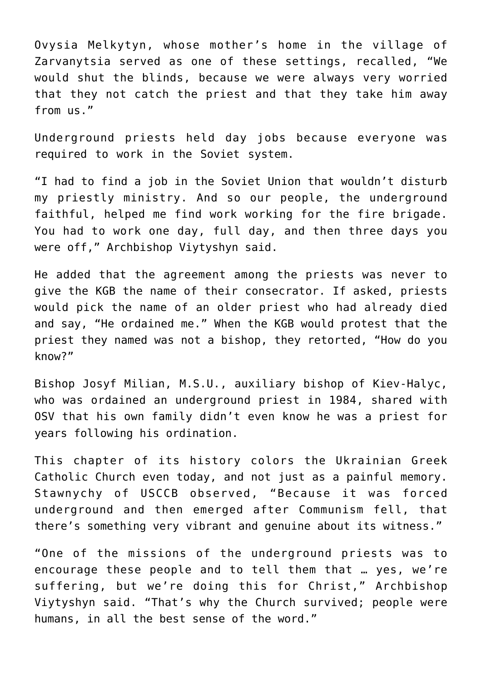Ovysia Melkytyn, whose mother's home in the village of Zarvanytsia served as one of these settings, recalled, "We would shut the blinds, because we were always very worried that they not catch the priest and that they take him away from us."

Underground priests held day jobs because everyone was required to work in the Soviet system.

"I had to find a job in the Soviet Union that wouldn't disturb my priestly ministry. And so our people, the underground faithful, helped me find work working for the fire brigade. You had to work one day, full day, and then three days you were off," Archbishop Viytyshyn said.

He added that the agreement among the priests was never to give the KGB the name of their consecrator. If asked, priests would pick the name of an older priest who had already died and say, "He ordained me." When the KGB would protest that the priest they named was not a bishop, they retorted, "How do you know?"

Bishop Josyf Milian, M.S.U., auxiliary bishop of Kiev-Halyc, who was ordained an underground priest in 1984, shared with OSV that his own family didn't even know he was a priest for years following his ordination.

This chapter of its history colors the Ukrainian Greek Catholic Church even today, and not just as a painful memory. Stawnychy of USCCB observed, "Because it was forced underground and then emerged after Communism fell, that there's something very vibrant and genuine about its witness."

"One of the missions of the underground priests was to encourage these people and to tell them that … yes, we're suffering, but we're doing this for Christ," Archbishop Viytyshyn said. "That's why the Church survived; people were humans, in all the best sense of the word."